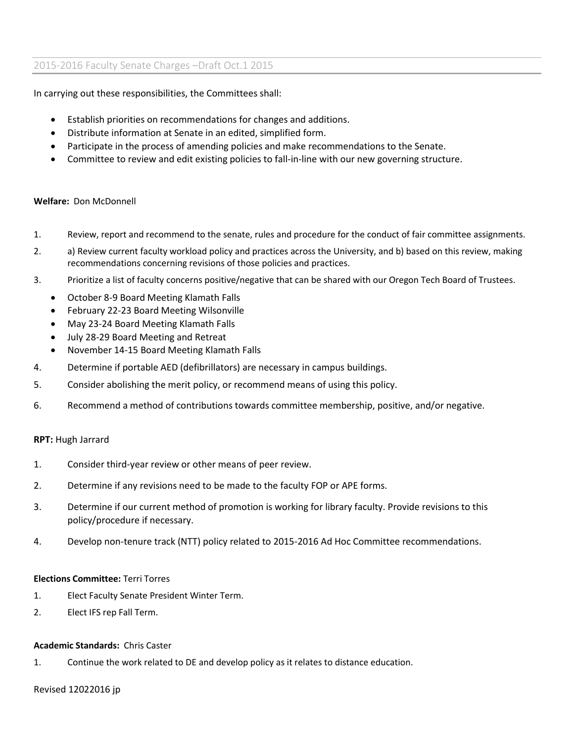In carrying out these responsibilities, the Committees shall:

- Establish priorities on recommendations for changes and additions.
- Distribute information at Senate in an edited, simplified form.
- Participate in the process of amending policies and make recommendations to the Senate.
- Committee to review and edit existing policies to fall-in-line with our new governing structure.

### **Welfare:** Don McDonnell

- 1. Review, report and recommend to the senate, rules and procedure for the conduct of fair committee assignments.
- 2. a) Review current faculty workload policy and practices across the University, and b) based on this review, making recommendations concerning revisions of those policies and practices.
- 3. Prioritize a list of faculty concerns positive/negative that can be shared with our Oregon Tech Board of Trustees.
	- October 8-9 Board Meeting Klamath Falls
	- February 22-23 Board Meeting Wilsonville
	- May 23-24 Board Meeting Klamath Falls
	- July 28-29 Board Meeting and Retreat
	- November 14-15 Board Meeting Klamath Falls
- 4. Determine if portable AED (defibrillators) are necessary in campus buildings.
- 5. Consider abolishing the merit policy, or recommend means of using this policy.
- 6. Recommend a method of contributions towards committee membership, positive, and/or negative.

### **RPT:** Hugh Jarrard

- 1. Consider third-year review or other means of peer review.
- 2. Determine if any revisions need to be made to the faculty FOP or APE forms.
- 3. Determine if our current method of promotion is working for library faculty. Provide revisions to this policy/procedure if necessary.
- 4. Develop non-tenure track (NTT) policy related to 2015-2016 Ad Hoc Committee recommendations.

#### **Elections Committee:** Terri Torres

- 1. Elect Faculty Senate President Winter Term.
- 2. Elect IFS rep Fall Term.

#### **Academic Standards:** Chris Caster

1. Continue the work related to DE and develop policy as it relates to distance education.

#### Revised 12022016 jp